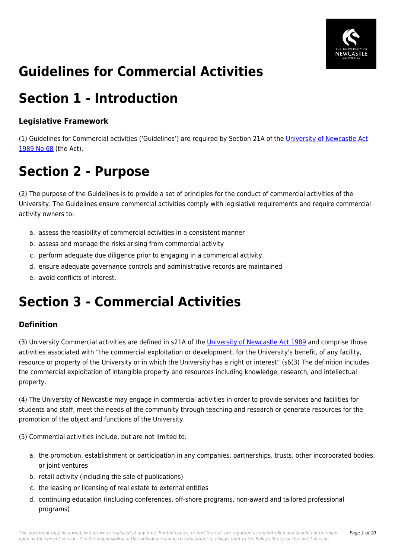

# **Guidelines for Commercial Activities**

### **Section 1 - Introduction**

### **Legislative Framework**

(1) Guidelines for Commercial activities ('Guidelines') are required by Section 21A of the [University of Newcastle Act](https://policies.newcastle.edu.au/directory-summary.php?legislation=17) [1989 No 68](https://policies.newcastle.edu.au/directory-summary.php?legislation=17) (the Act).

# **Section 2 - Purpose**

(2) The purpose of the Guidelines is to provide a set of principles for the conduct of commercial activities of the University. The Guidelines ensure commercial activities comply with legislative requirements and require commercial activity owners to:

- a. assess the feasibility of commercial activities in a consistent manner
- b. assess and manage the risks arising from commercial activity
- c. perform adequate due diligence prior to engaging in a commercial activity
- d. ensure adequate governance controls and administrative records are maintained
- e. avoid conflicts of interest.

## **Section 3 - Commercial Activities**

### **Definition**

(3) University Commercial activities are defined in s21A of the [University of Newcastle Act 1989](https://policies.newcastle.edu.au/directory-summary.php?legislation=17) and comprise those activities associated with "the commercial exploitation or development, for the University's benefit, of any facility, resource or property of the University or in which the University has a right or interest" (s6(3) The definition includes the commercial exploitation of intangible property and resources including knowledge, research, and intellectual property.

(4) The University of Newcastle may engage in commercial activities in order to provide services and facilities for students and staff, meet the needs of the community through teaching and research or generate resources for the promotion of the object and functions of the University.

(5) Commercial activities include, but are not limited to:

- a. the promotion, establishment or participation in any companies, partnerships, trusts, other incorporated bodies, or joint ventures
- b. retail activity (including the sale of publications)
- c. the leasing or licensing of real estate to external entities
- d. continuing education (including conferences, off-shore programs, non-award and tailored professional programs)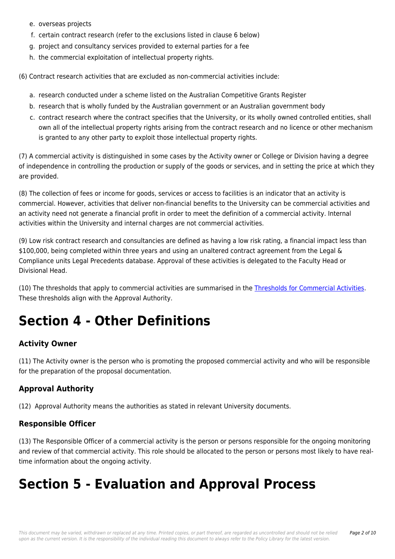- e. overseas projects
- f. certain contract research (refer to the exclusions listed in clause 6 below)
- g. project and consultancy services provided to external parties for a fee
- h. the commercial exploitation of intellectual property rights.

(6) Contract research activities that are excluded as non-commercial activities include:

- a. research conducted under a scheme listed on the Australian Competitive Grants Register
- b. research that is wholly funded by the Australian government or an Australian government body
- c. contract research where the contract specifies that the University, or its wholly owned controlled entities, shall own all of the intellectual property rights arising from the contract research and no licence or other mechanism is granted to any other party to exploit those intellectual property rights.

(7) A commercial activity is distinguished in some cases by the Activity owner or College or Division having a degree of independence in controlling the production or supply of the goods or services, and in setting the price at which they are provided.

(8) The collection of fees or income for goods, services or access to facilities is an indicator that an activity is commercial. However, activities that deliver non-financial benefits to the University can be commercial activities and an activity need not generate a financial profit in order to meet the definition of a commercial activity. Internal activities within the University and internal charges are not commercial activities.

(9) Low risk contract research and consultancies are defined as having a low risk rating, a financial impact less than \$100,000, being completed within three years and using an unaltered contract agreement from the Legal & Compliance units Legal Precedents database. Approval of these activities is delegated to the Faculty Head or Divisional Head.

(10) The thresholds that apply to commercial activities are summarised in the [Thresholds for Commercial Activities](https://policies.newcastle.edu.au/download.php?id=271&version=2&associated). These thresholds align with the Approval Authority.

### **Section 4 - Other Definitions**

### **Activity Owner**

(11) The Activity owner is the person who is promoting the proposed commercial activity and who will be responsible for the preparation of the proposal documentation.

### **Approval Authority**

(12) Approval Authority means the authorities as stated in relevant University documents.

#### **Responsible Officer**

(13) The Responsible Officer of a commercial activity is the person or persons responsible for the ongoing monitoring and review of that commercial activity. This role should be allocated to the person or persons most likely to have realtime information about the ongoing activity.

### **Section 5 - Evaluation and Approval Process**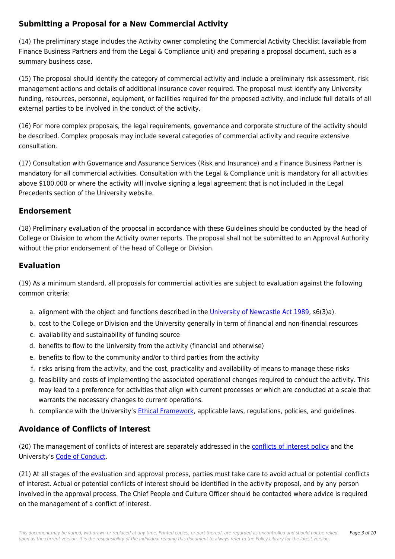### **Submitting a Proposal for a New Commercial Activity**

(14) The preliminary stage includes the Activity owner completing the Commercial Activity Checklist (available from Finance Business Partners and from the Legal & Compliance unit) and preparing a proposal document, such as a summary business case.

(15) The proposal should identify the category of commercial activity and include a preliminary risk assessment, risk management actions and details of additional insurance cover required. The proposal must identify any University funding, resources, personnel, equipment, or facilities required for the proposed activity, and include full details of all external parties to be involved in the conduct of the activity.

(16) For more complex proposals, the legal requirements, governance and corporate structure of the activity should be described. Complex proposals may include several categories of commercial activity and require extensive consultation.

(17) Consultation with Governance and Assurance Services (Risk and Insurance) and a Finance Business Partner is mandatory for all commercial activities. Consultation with the Legal & Compliance unit is mandatory for all activities above \$100,000 or where the activity will involve signing a legal agreement that is not included in the Legal Precedents section of the University website.

### **Endorsement**

(18) Preliminary evaluation of the proposal in accordance with these Guidelines should be conducted by the head of College or Division to whom the Activity owner reports. The proposal shall not be submitted to an Approval Authority without the prior endorsement of the head of College or Division.

### **Evaluation**

(19) As a minimum standard, all proposals for commercial activities are subject to evaluation against the following common criteria:

- a. alignment with the object and functions described in the [University of Newcastle Act 1989,](https://policies.newcastle.edu.au/directory-summary.php?legislation=17) s6(3)a).
- b. cost to the College or Division and the University generally in term of financial and non-financial resources
- c. availability and sustainability of funding source
- d. benefits to flow to the University from the activity (financial and otherwise)
- e. benefits to flow to the community and/or to third parties from the activity
- f. risks arising from the activity, and the cost, practicality and availability of means to manage these risks
- g. feasibility and costs of implementing the associated operational changes required to conduct the activity. This may lead to a preference for activities that align with current processes or which are conducted at a scale that warrants the necessary changes to current operations.
- h. compliance with the University's [Ethical Framework,](https://policies.newcastle.edu.au/document/view-current.php?id=317) applicable laws, regulations, policies, and guidelines.

### **Avoidance of Conflicts of Interest**

(20) The management of conflicts of interest are separately addressed in the [conflicts of interest policy](https://policies.newcastle.edu.au/document/view-current.php?id=192) and the University's [Code of Conduct.](https://policies.newcastle.edu.au/document/view-current.php?id=204)

(21) At all stages of the evaluation and approval process, parties must take care to avoid actual or potential conflicts of interest. Actual or potential conflicts of interest should be identified in the activity proposal, and by any person involved in the approval process. The Chief People and Culture Officer should be contacted where advice is required on the management of a conflict of interest.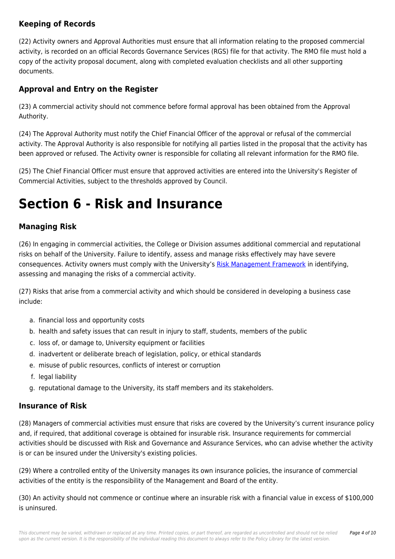### **Keeping of Records**

(22) Activity owners and Approval Authorities must ensure that all information relating to the proposed commercial activity, is recorded on an official Records Governance Services (RGS) file for that activity. The RMO file must hold a copy of the activity proposal document, along with completed evaluation checklists and all other supporting documents.

### **Approval and Entry on the Register**

(23) A commercial activity should not commence before formal approval has been obtained from the Approval Authority.

(24) The Approval Authority must notify the Chief Financial Officer of the approval or refusal of the commercial activity. The Approval Authority is also responsible for notifying all parties listed in the proposal that the activity has been approved or refused. The Activity owner is responsible for collating all relevant information for the RMO file.

(25) The Chief Financial Officer must ensure that approved activities are entered into the University's Register of Commercial Activities, subject to the thresholds approved by Council.

### **Section 6 - Risk and Insurance**

### **Managing Risk**

(26) In engaging in commercial activities, the College or Division assumes additional commercial and reputational risks on behalf of the University. Failure to identify, assess and manage risks effectively may have severe consequences. Activity owners must comply with the University's [Risk Management Framework](https://policies.newcastle.edu.au/document/view-current.php?id=247) in identifying, assessing and managing the risks of a commercial activity.

(27) Risks that arise from a commercial activity and which should be considered in developing a business case include:

- a. financial loss and opportunity costs
- b. health and safety issues that can result in injury to staff, students, members of the public
- c. loss of, or damage to, University equipment or facilities
- d. inadvertent or deliberate breach of legislation, policy, or ethical standards
- e. misuse of public resources, conflicts of interest or corruption
- f. legal liability
- g. reputational damage to the University, its staff members and its stakeholders.

#### **Insurance of Risk**

(28) Managers of commercial activities must ensure that risks are covered by the University's current insurance policy and, if required, that additional coverage is obtained for insurable risk. Insurance requirements for commercial activities should be discussed with Risk and Governance and Assurance Services, who can advise whether the activity is or can be insured under the University's existing policies.

(29) Where a controlled entity of the University manages its own insurance policies, the insurance of commercial activities of the entity is the responsibility of the Management and Board of the entity.

(30) An activity should not commence or continue where an insurable risk with a financial value in excess of \$100,000 is uninsured.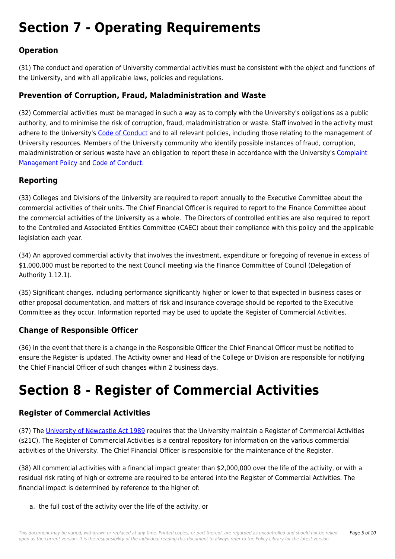# **Section 7 - Operating Requirements**

### **Operation**

(31) The conduct and operation of University commercial activities must be consistent with the object and functions of the University, and with all applicable laws, policies and regulations.

### **Prevention of Corruption, Fraud, Maladministration and Waste**

(32) Commercial activities must be managed in such a way as to comply with the University's obligations as a public authority, and to minimise the risk of corruption, fraud, maladministration or waste. Staff involved in the activity must adhere to the University's [Code of Conduct](https://policies.newcastle.edu.au/document/view-current.php?id=204) and to all relevant policies, including those relating to the management of University resources. Members of the University community who identify possible instances of fraud, corruption, maladministration or serious waste have an obligation to report these in accordance with the University's [Complaint](https://policies.newcastle.edu.au/document/view-current.php?id=196) [Management Policy](https://policies.newcastle.edu.au/document/view-current.php?id=196) and [Code of Conduct](https://policies.newcastle.edu.au/document/view-current.php?id=204).

### **Reporting**

(33) Colleges and Divisions of the University are required to report annually to the Executive Committee about the commercial activities of their units. The Chief Financial Officer is required to report to the Finance Committee about the commercial activities of the University as a whole. The Directors of controlled entities are also required to report to the Controlled and Associated Entities Committee (CAEC) about their compliance with this policy and the applicable legislation each year.

(34) An approved commercial activity that involves the investment, expenditure or foregoing of revenue in excess of \$1,000,000 must be reported to the next Council meeting via the Finance Committee of Council (Delegation of Authority 1.12.1).

(35) Significant changes, including performance significantly higher or lower to that expected in business cases or other proposal documentation, and matters of risk and insurance coverage should be reported to the Executive Committee as they occur. Information reported may be used to update the Register of Commercial Activities.

### **Change of Responsible Officer**

(36) In the event that there is a change in the Responsible Officer the Chief Financial Officer must be notified to ensure the Register is updated. The Activity owner and Head of the College or Division are responsible for notifying the Chief Financial Officer of such changes within 2 business days.

## **Section 8 - Register of Commercial Activities**

### **Register of Commercial Activities**

(37) The [University of Newcastle Act 1989](https://policies.newcastle.edu.au/directory-summary.php?legislation=17) requires that the University maintain a Register of Commercial Activities (s21C). The Register of Commercial Activities is a central repository for information on the various commercial activities of the University. The Chief Financial Officer is responsible for the maintenance of the Register.

(38) All commercial activities with a financial impact greater than \$2,000,000 over the life of the activity, or with a residual risk rating of high or extreme are required to be entered into the Register of Commercial Activities. The financial impact is determined by reference to the higher of:

a. the full cost of the activity over the life of the activity, or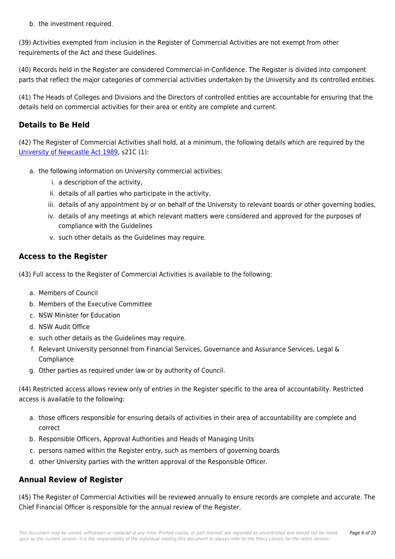b. the investment required.

(39) Activities exempted from inclusion in the Register of Commercial Activities are not exempt from other requirements of the Act and these Guidelines.

(40) Records held in the Register are considered Commercial-in-Confidence. The Register is divided into component parts that reflect the major categories of commercial activities undertaken by the University and its controlled entities.

(41) The Heads of Colleges and Divisions and the Directors of controlled entities are accountable for ensuring that the details held on commercial activities for their area or entity are complete and current.

### **Details to Be Held**

(42) The Register of Commercial Activities shall hold, at a minimum, the following details which are required by the [University of Newcastle Act 1989,](https://policies.newcastle.edu.au/directory-summary.php?legislation=17) s21C (1):

- a. the following information on University commercial activities:
	- i. a description of the activity,
	- ii. details of all parties who participate in the activity,
	- iii. details of any appointment by or on behalf of the University to relevant boards or other governing bodies,
	- iv. details of any meetings at which relevant matters were considered and approved for the purposes of compliance with the Guidelines
	- v. such other details as the Guidelines may require.

### **Access to the Register**

(43) Full access to the Register of Commercial Activities is available to the following:

- a. Members of Council
- b. Members of the Executive Committee
- c. NSW Minister for Education
- d. NSW Audit Office
- e. such other details as the Guidelines may require.
- f. Relevant University personnel from Financial Services, Governance and Assurance Services, Legal & Compliance
- g. Other parties as required under law or by authority of Council.

(44) Restricted access allows review only of entries in the Register specific to the area of accountability. Restricted access is available to the following:

- a. those officers responsible for ensuring details of activities in their area of accountability are complete and correct
- b. Responsible Officers, Approval Authorities and Heads of Managing Units
- c. persons named within the Register entry, such as members of governing boards
- d. other University parties with the written approval of the Responsible Officer.

### **Annual Review of Register**

(45) The Register of Commercial Activities will be reviewed annually to ensure records are complete and accurate. The Chief Financial Officer is responsible for the annual review of the Register.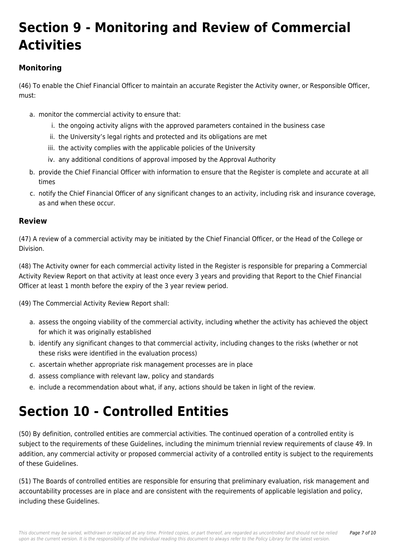# **Section 9 - Monitoring and Review of Commercial Activities**

### **Monitoring**

(46) To enable the Chief Financial Officer to maintain an accurate Register the Activity owner, or Responsible Officer, must:

- a. monitor the commercial activity to ensure that:
	- i. the ongoing activity aligns with the approved parameters contained in the business case
	- ii. the University's legal rights and protected and its obligations are met
	- iii. the activity complies with the applicable policies of the University
	- iv. any additional conditions of approval imposed by the Approval Authority
- b. provide the Chief Financial Officer with information to ensure that the Register is complete and accurate at all times
- c. notify the Chief Financial Officer of any significant changes to an activity, including risk and insurance coverage, as and when these occur.

### **Review**

(47) A review of a commercial activity may be initiated by the Chief Financial Officer, or the Head of the College or Division.

(48) The Activity owner for each commercial activity listed in the Register is responsible for preparing a Commercial Activity Review Report on that activity at least once every 3 years and providing that Report to the Chief Financial Officer at least 1 month before the expiry of the 3 year review period.

(49) The Commercial Activity Review Report shall:

- a. assess the ongoing viability of the commercial activity, including whether the activity has achieved the object for which it was originally established
- b. identify any significant changes to that commercial activity, including changes to the risks (whether or not these risks were identified in the evaluation process)
- c. ascertain whether appropriate risk management processes are in place
- d. assess compliance with relevant law, policy and standards
- e. include a recommendation about what, if any, actions should be taken in light of the review.

# **Section 10 - Controlled Entities**

(50) By definition, controlled entities are commercial activities. The continued operation of a controlled entity is subject to the requirements of these Guidelines, including the minimum triennial review requirements of clause 49. In addition, any commercial activity or proposed commercial activity of a controlled entity is subject to the requirements of these Guidelines.

(51) The Boards of controlled entities are responsible for ensuring that preliminary evaluation, risk management and accountability processes are in place and are consistent with the requirements of applicable legislation and policy, including these Guidelines.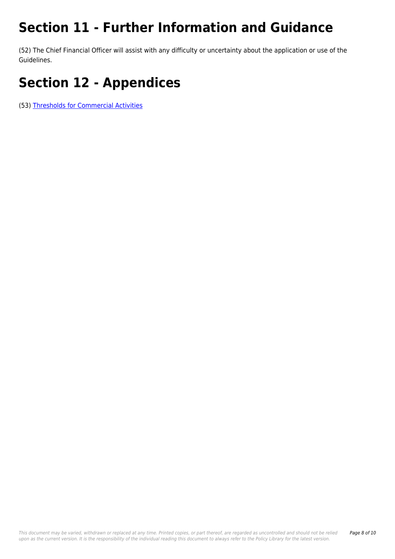# **Section 11 - Further Information and Guidance**

(52) The Chief Financial Officer will assist with any difficulty or uncertainty about the application or use of the Guidelines.

# **Section 12 - Appendices**

(53) [Thresholds for Commercial Activities](https://policies.newcastle.edu.au/download.php?id=271&version=2&associated)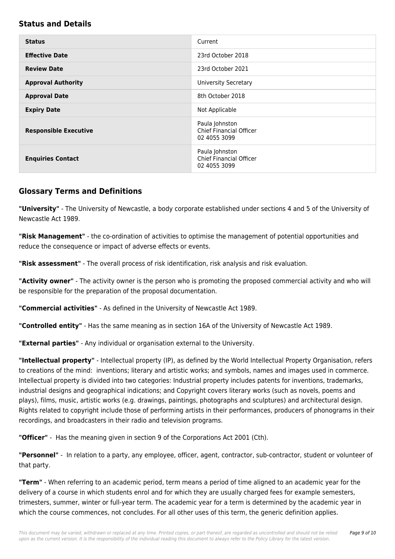#### **Status and Details**

| <b>Status</b>                | Current                                                          |
|------------------------------|------------------------------------------------------------------|
| <b>Effective Date</b>        | 23rd October 2018                                                |
| <b>Review Date</b>           | 23rd October 2021                                                |
| <b>Approval Authority</b>    | <b>University Secretary</b>                                      |
| <b>Approval Date</b>         | 8th October 2018                                                 |
| <b>Expiry Date</b>           | Not Applicable                                                   |
| <b>Responsible Executive</b> | Paula Johnston<br><b>Chief Financial Officer</b><br>02 4055 3099 |
| <b>Enquiries Contact</b>     | Paula Johnston<br><b>Chief Financial Officer</b><br>02 4055 3099 |

### **Glossary Terms and Definitions**

**"University"** - The University of Newcastle, a body corporate established under sections 4 and 5 of the University of Newcastle Act 1989.

**"Risk Management"** - the co-ordination of activities to optimise the management of potential opportunities and reduce the consequence or impact of adverse effects or events.

**"Risk assessment"** - The overall process of risk identification, risk analysis and risk evaluation.

**"Activity owner"** - The activity owner is the person who is promoting the proposed commercial activity and who will be responsible for the preparation of the proposal documentation.

**"Commercial activities"** - As defined in the University of Newcastle Act 1989.

**"Controlled entity"** - Has the same meaning as in section 16A of the University of Newcastle Act 1989.

**"External parties"** - Any individual or organisation external to the University.

**"Intellectual property"** - Intellectual property (IP), as defined by the World Intellectual Property Organisation, refers to creations of the mind: inventions; literary and artistic works; and symbols, names and images used in commerce. Intellectual property is divided into two categories: Industrial property includes patents for inventions, trademarks, industrial designs and geographical indications; and Copyright covers literary works (such as novels, poems and plays), films, music, artistic works (e.g. drawings, paintings, photographs and sculptures) and architectural design. Rights related to copyright include those of performing artists in their performances, producers of phonograms in their recordings, and broadcasters in their radio and television programs.

**"Officer"** - Has the meaning given in section 9 of the Corporations Act 2001 (Cth).

**"Personnel"** - In relation to a party, any employee, officer, agent, contractor, sub-contractor, student or volunteer of that party.

**"Term"** - When referring to an academic period, term means a period of time aligned to an academic year for the delivery of a course in which students enrol and for which they are usually charged fees for example semesters, trimesters, summer, winter or full-year term. The academic year for a term is determined by the academic year in which the course commences, not concludes. For all other uses of this term, the generic definition applies.